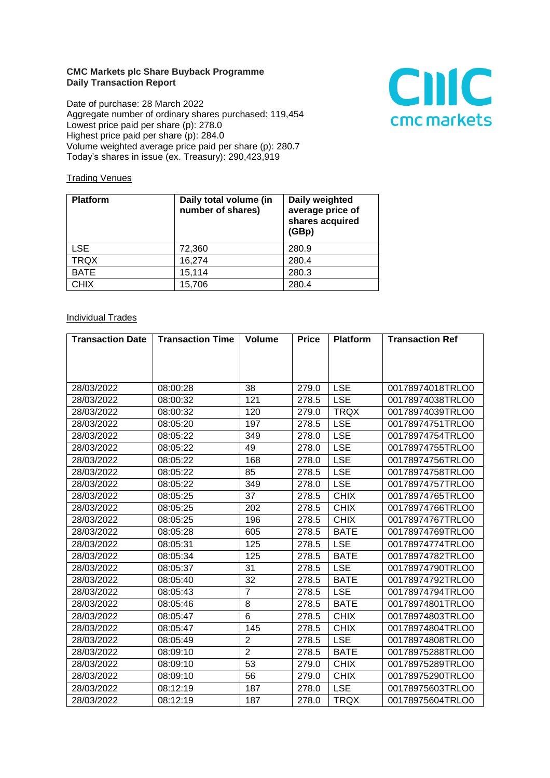## **CMC Markets plc Share Buyback Programme Daily Transaction Report**

Date of purchase: 28 March 2022 Aggregate number of ordinary shares purchased: 119,454 Lowest price paid per share (p): 278.0 Highest price paid per share (p): 284.0 Volume weighted average price paid per share (p): 280.7 Today's shares in issue (ex. Treasury): 290,423,919



## **Trading Venues**

| <b>Platform</b> | Daily total volume (in<br>number of shares) | Daily weighted<br>average price of<br>shares acquired<br>(GBp) |
|-----------------|---------------------------------------------|----------------------------------------------------------------|
| <b>LSE</b>      | 72,360                                      | 280.9                                                          |
| <b>TRQX</b>     | 16,274                                      | 280.4                                                          |
| <b>BATE</b>     | 15,114                                      | 280.3                                                          |
| <b>CHIX</b>     | 15,706                                      | 280.4                                                          |

## **Individual Trades**

| <b>Transaction Date</b> | <b>Transaction Time</b> | <b>Volume</b>  | <b>Price</b> | <b>Platform</b> | <b>Transaction Ref</b> |
|-------------------------|-------------------------|----------------|--------------|-----------------|------------------------|
|                         |                         |                |              |                 |                        |
|                         |                         |                |              |                 |                        |
|                         |                         |                |              |                 |                        |
| 28/03/2022              | 08:00:28                | 38             | 279.0        | <b>LSE</b>      | 00178974018TRLO0       |
| 28/03/2022              | 08:00:32                | 121            | 278.5        | <b>LSE</b>      | 00178974038TRLO0       |
| 28/03/2022              | 08:00:32                | 120            | 279.0        | <b>TRQX</b>     | 00178974039TRLO0       |
| 28/03/2022              | 08:05:20                | 197            | 278.5        | <b>LSE</b>      | 00178974751TRLO0       |
| 28/03/2022              | 08:05:22                | 349            | 278.0        | <b>LSE</b>      | 00178974754TRLO0       |
| 28/03/2022              | 08:05:22                | 49             | 278.0        | <b>LSE</b>      | 00178974755TRLO0       |
| 28/03/2022              | 08:05:22                | 168            | 278.0        | <b>LSE</b>      | 00178974756TRLO0       |
| 28/03/2022              | 08:05:22                | 85             | 278.5        | <b>LSE</b>      | 00178974758TRLO0       |
| 28/03/2022              | 08:05:22                | 349            | 278.0        | <b>LSE</b>      | 00178974757TRLO0       |
| 28/03/2022              | 08:05:25                | 37             | 278.5        | <b>CHIX</b>     | 00178974765TRLO0       |
| 28/03/2022              | 08:05:25                | 202            | 278.5        | <b>CHIX</b>     | 00178974766TRLO0       |
| 28/03/2022              | 08:05:25                | 196            | 278.5        | <b>CHIX</b>     | 00178974767TRLO0       |
| 28/03/2022              | 08:05:28                | 605            | 278.5        | <b>BATE</b>     | 00178974769TRLO0       |
| 28/03/2022              | 08:05:31                | 125            | 278.5        | <b>LSE</b>      | 00178974774TRLO0       |
| 28/03/2022              | 08:05:34                | 125            | 278.5        | <b>BATE</b>     | 00178974782TRLO0       |
| 28/03/2022              | 08:05:37                | 31             | 278.5        | <b>LSE</b>      | 00178974790TRLO0       |
| 28/03/2022              | 08:05:40                | 32             | 278.5        | <b>BATE</b>     | 00178974792TRLO0       |
| 28/03/2022              | 08:05:43                | $\overline{7}$ | 278.5        | <b>LSE</b>      | 00178974794TRLO0       |
| 28/03/2022              | 08:05:46                | 8              | 278.5        | <b>BATE</b>     | 00178974801TRLO0       |
| 28/03/2022              | 08:05:47                | 6              | 278.5        | <b>CHIX</b>     | 00178974803TRLO0       |
| 28/03/2022              | 08:05:47                | 145            | 278.5        | <b>CHIX</b>     | 00178974804TRLO0       |
| 28/03/2022              | 08:05:49                | $\overline{2}$ | 278.5        | <b>LSE</b>      | 00178974808TRLO0       |
| 28/03/2022              | 08:09:10                | $\overline{2}$ | 278.5        | <b>BATE</b>     | 00178975288TRLO0       |
| 28/03/2022              | 08:09:10                | 53             | 279.0        | <b>CHIX</b>     | 00178975289TRLO0       |
| 28/03/2022              | 08:09:10                | 56             | 279.0        | <b>CHIX</b>     | 00178975290TRLO0       |
| 28/03/2022              | 08:12:19                | 187            | 278.0        | <b>LSE</b>      | 00178975603TRLO0       |
| 28/03/2022              | 08:12:19                | 187            | 278.0        | <b>TRQX</b>     | 00178975604TRLO0       |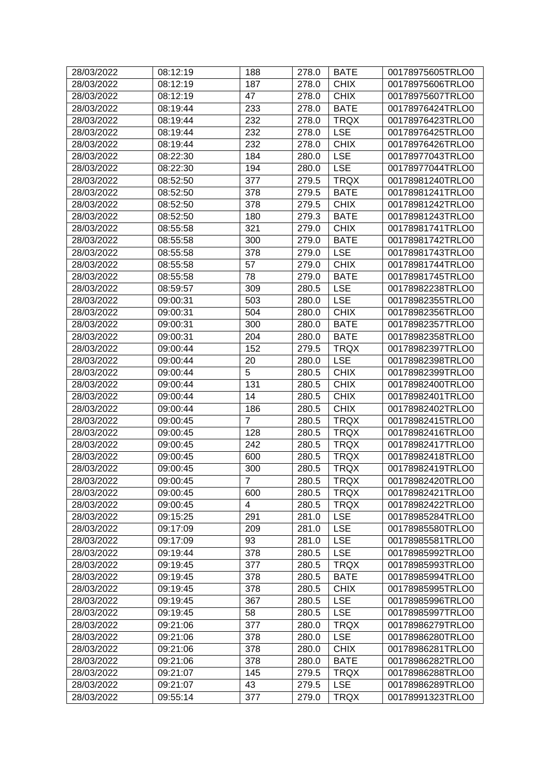| 28/03/2022 | 08:12:19 | 188            | 278.0 | <b>BATE</b> | 00178975605TRLO0 |
|------------|----------|----------------|-------|-------------|------------------|
| 28/03/2022 | 08:12:19 | 187            | 278.0 | <b>CHIX</b> | 00178975606TRLO0 |
| 28/03/2022 | 08:12:19 | 47             | 278.0 | <b>CHIX</b> | 00178975607TRLO0 |
| 28/03/2022 | 08:19:44 | 233            | 278.0 | <b>BATE</b> | 00178976424TRLO0 |
| 28/03/2022 | 08:19:44 | 232            | 278.0 | <b>TRQX</b> | 00178976423TRLO0 |
| 28/03/2022 | 08:19:44 | 232            | 278.0 | <b>LSE</b>  | 00178976425TRLO0 |
| 28/03/2022 | 08:19:44 | 232            | 278.0 | <b>CHIX</b> | 00178976426TRLO0 |
| 28/03/2022 | 08:22:30 | 184            | 280.0 | <b>LSE</b>  | 00178977043TRLO0 |
| 28/03/2022 | 08:22:30 | 194            | 280.0 | <b>LSE</b>  | 00178977044TRLO0 |
| 28/03/2022 | 08:52:50 | 377            | 279.5 | <b>TRQX</b> | 00178981240TRLO0 |
| 28/03/2022 | 08:52:50 | 378            | 279.5 | <b>BATE</b> | 00178981241TRLO0 |
| 28/03/2022 | 08:52:50 | 378            | 279.5 | <b>CHIX</b> | 00178981242TRLO0 |
| 28/03/2022 | 08:52:50 | 180            | 279.3 | <b>BATE</b> | 00178981243TRLO0 |
| 28/03/2022 | 08:55:58 | 321            | 279.0 | <b>CHIX</b> | 00178981741TRLO0 |
| 28/03/2022 | 08:55:58 | 300            | 279.0 | <b>BATE</b> | 00178981742TRLO0 |
| 28/03/2022 | 08:55:58 | 378            | 279.0 | <b>LSE</b>  | 00178981743TRLO0 |
| 28/03/2022 | 08:55:58 | 57             | 279.0 | <b>CHIX</b> | 00178981744TRLO0 |
| 28/03/2022 | 08:55:58 | 78             | 279.0 | <b>BATE</b> | 00178981745TRLO0 |
| 28/03/2022 | 08:59:57 | 309            | 280.5 | <b>LSE</b>  | 00178982238TRLO0 |
| 28/03/2022 | 09:00:31 | 503            | 280.0 | <b>LSE</b>  | 00178982355TRLO0 |
| 28/03/2022 | 09:00:31 | 504            | 280.0 | <b>CHIX</b> | 00178982356TRLO0 |
| 28/03/2022 | 09:00:31 | 300            | 280.0 | <b>BATE</b> | 00178982357TRLO0 |
| 28/03/2022 | 09:00:31 | 204            | 280.0 | <b>BATE</b> | 00178982358TRLO0 |
| 28/03/2022 | 09:00:44 | 152            | 279.5 | <b>TRQX</b> | 00178982397TRLO0 |
| 28/03/2022 | 09:00:44 | 20             | 280.0 | <b>LSE</b>  | 00178982398TRLO0 |
| 28/03/2022 | 09:00:44 | 5              | 280.5 | <b>CHIX</b> | 00178982399TRLO0 |
| 28/03/2022 | 09:00:44 | 131            | 280.5 | <b>CHIX</b> | 00178982400TRLO0 |
| 28/03/2022 | 09:00:44 | 14             | 280.5 | <b>CHIX</b> | 00178982401TRLO0 |
| 28/03/2022 | 09:00:44 | 186            | 280.5 | <b>CHIX</b> | 00178982402TRLO0 |
| 28/03/2022 | 09:00:45 | $\overline{7}$ | 280.5 | <b>TRQX</b> | 00178982415TRLO0 |
| 28/03/2022 | 09:00:45 | 128            | 280.5 | <b>TRQX</b> | 00178982416TRLO0 |
| 28/03/2022 | 09:00:45 | 242            | 280.5 | <b>TRQX</b> | 00178982417TRLO0 |
| 28/03/2022 | 09:00:45 | 600            | 280.5 | <b>TRQX</b> | 00178982418TRLO0 |
| 28/03/2022 | 09:00:45 | 300            | 280.5 | <b>TRQX</b> | 00178982419TRLO0 |
| 28/03/2022 | 09:00:45 | $\overline{7}$ | 280.5 | <b>TRQX</b> | 00178982420TRLO0 |
| 28/03/2022 | 09:00:45 | 600            | 280.5 | <b>TRQX</b> | 00178982421TRLO0 |
| 28/03/2022 | 09:00:45 | 4              | 280.5 | <b>TRQX</b> | 00178982422TRLO0 |
| 28/03/2022 | 09:15:25 | 291            | 281.0 | <b>LSE</b>  | 00178985284TRLO0 |
| 28/03/2022 | 09:17:09 | 209            | 281.0 | <b>LSE</b>  | 00178985580TRLO0 |
| 28/03/2022 | 09:17:09 | 93             | 281.0 | <b>LSE</b>  | 00178985581TRLO0 |
| 28/03/2022 | 09:19:44 | 378            | 280.5 | <b>LSE</b>  | 00178985992TRLO0 |
| 28/03/2022 | 09:19:45 | 377            | 280.5 | <b>TRQX</b> | 00178985993TRLO0 |
| 28/03/2022 | 09:19:45 | 378            | 280.5 | <b>BATE</b> | 00178985994TRLO0 |
| 28/03/2022 | 09:19:45 | 378            | 280.5 | <b>CHIX</b> | 00178985995TRLO0 |
| 28/03/2022 | 09:19:45 | 367            | 280.5 | <b>LSE</b>  | 00178985996TRLO0 |
| 28/03/2022 | 09:19:45 | 58             | 280.5 | <b>LSE</b>  | 00178985997TRLO0 |
| 28/03/2022 | 09:21:06 | 377            | 280.0 | <b>TRQX</b> | 00178986279TRLO0 |
| 28/03/2022 | 09:21:06 | 378            | 280.0 | <b>LSE</b>  | 00178986280TRLO0 |
| 28/03/2022 | 09:21:06 | 378            | 280.0 | <b>CHIX</b> | 00178986281TRLO0 |
| 28/03/2022 | 09:21:06 | 378            | 280.0 | <b>BATE</b> | 00178986282TRLO0 |
| 28/03/2022 | 09:21:07 | 145            | 279.5 | <b>TRQX</b> | 00178986288TRLO0 |
| 28/03/2022 | 09:21:07 | 43             | 279.5 | <b>LSE</b>  | 00178986289TRLO0 |
| 28/03/2022 | 09:55:14 | 377            | 279.0 | <b>TRQX</b> | 00178991323TRLO0 |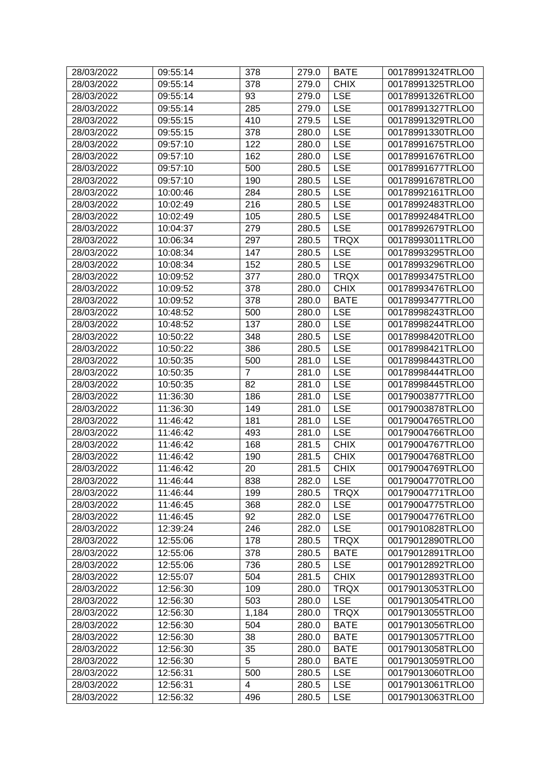| 28/03/2022 | 09:55:14 | 378                     | 279.0 | <b>BATE</b> | 00178991324TRLO0 |
|------------|----------|-------------------------|-------|-------------|------------------|
| 28/03/2022 | 09:55:14 | 378                     | 279.0 | <b>CHIX</b> | 00178991325TRLO0 |
| 28/03/2022 | 09:55:14 | 93                      | 279.0 | <b>LSE</b>  | 00178991326TRLO0 |
| 28/03/2022 | 09:55:14 | 285                     | 279.0 | <b>LSE</b>  | 00178991327TRLO0 |
| 28/03/2022 | 09:55:15 | 410                     | 279.5 | <b>LSE</b>  | 00178991329TRLO0 |
| 28/03/2022 | 09:55:15 | 378                     | 280.0 | <b>LSE</b>  | 00178991330TRLO0 |
| 28/03/2022 | 09:57:10 | 122                     | 280.0 | <b>LSE</b>  | 00178991675TRLO0 |
| 28/03/2022 | 09:57:10 | 162                     | 280.0 | <b>LSE</b>  | 00178991676TRLO0 |
| 28/03/2022 | 09:57:10 | 500                     | 280.5 | <b>LSE</b>  | 00178991677TRLO0 |
| 28/03/2022 | 09:57:10 | 190                     | 280.5 | <b>LSE</b>  | 00178991678TRLO0 |
| 28/03/2022 | 10:00:46 | 284                     | 280.5 | <b>LSE</b>  | 00178992161TRLO0 |
| 28/03/2022 | 10:02:49 | 216                     | 280.5 | <b>LSE</b>  | 00178992483TRLO0 |
| 28/03/2022 | 10:02:49 | 105                     | 280.5 | <b>LSE</b>  | 00178992484TRLO0 |
| 28/03/2022 | 10:04:37 | 279                     | 280.5 | <b>LSE</b>  | 00178992679TRLO0 |
| 28/03/2022 | 10:06:34 | 297                     | 280.5 | <b>TRQX</b> | 00178993011TRLO0 |
| 28/03/2022 | 10:08:34 | 147                     | 280.5 | <b>LSE</b>  | 00178993295TRLO0 |
| 28/03/2022 | 10:08:34 | 152                     | 280.5 | <b>LSE</b>  | 00178993296TRLO0 |
| 28/03/2022 | 10:09:52 | 377                     | 280.0 | <b>TRQX</b> | 00178993475TRLO0 |
| 28/03/2022 | 10:09:52 | 378                     | 280.0 | <b>CHIX</b> | 00178993476TRLO0 |
| 28/03/2022 | 10:09:52 | 378                     | 280.0 | <b>BATE</b> | 00178993477TRLO0 |
| 28/03/2022 | 10:48:52 | 500                     | 280.0 | <b>LSE</b>  | 00178998243TRLO0 |
| 28/03/2022 | 10:48:52 | 137                     | 280.0 | <b>LSE</b>  | 00178998244TRLO0 |
| 28/03/2022 | 10:50:22 | 348                     | 280.5 | <b>LSE</b>  | 00178998420TRLO0 |
| 28/03/2022 | 10:50:22 | 386                     | 280.5 | <b>LSE</b>  | 00178998421TRLO0 |
| 28/03/2022 | 10:50:35 | 500                     | 281.0 | <b>LSE</b>  | 00178998443TRLO0 |
| 28/03/2022 | 10:50:35 | 7                       | 281.0 | <b>LSE</b>  | 00178998444TRLO0 |
| 28/03/2022 | 10:50:35 | 82                      | 281.0 | <b>LSE</b>  | 00178998445TRLO0 |
| 28/03/2022 | 11:36:30 | 186                     | 281.0 | <b>LSE</b>  | 00179003877TRLO0 |
| 28/03/2022 | 11:36:30 | 149                     | 281.0 | <b>LSE</b>  | 00179003878TRLO0 |
| 28/03/2022 | 11:46:42 | 181                     | 281.0 | <b>LSE</b>  | 00179004765TRLO0 |
| 28/03/2022 | 11:46:42 | 493                     | 281.0 | <b>LSE</b>  | 00179004766TRLO0 |
| 28/03/2022 | 11:46:42 | 168                     | 281.5 | <b>CHIX</b> | 00179004767TRLO0 |
| 28/03/2022 | 11:46:42 | 190                     | 281.5 | <b>CHIX</b> | 00179004768TRLO0 |
| 28/03/2022 | 11:46:42 | 20                      | 281.5 | <b>CHIX</b> | 00179004769TRLO0 |
| 28/03/2022 | 11:46:44 | 838                     | 282.0 | <b>LSE</b>  | 00179004770TRLO0 |
| 28/03/2022 | 11:46:44 | 199                     | 280.5 | <b>TRQX</b> | 00179004771TRLO0 |
| 28/03/2022 | 11:46:45 | 368                     | 282.0 | <b>LSE</b>  | 00179004775TRLO0 |
| 28/03/2022 | 11:46:45 | 92                      | 282.0 | <b>LSE</b>  | 00179004776TRLO0 |
| 28/03/2022 | 12:39:24 | 246                     | 282.0 | <b>LSE</b>  | 00179010828TRLO0 |
| 28/03/2022 | 12:55:06 | 178                     | 280.5 | <b>TRQX</b> | 00179012890TRLO0 |
| 28/03/2022 | 12:55:06 | 378                     | 280.5 | <b>BATE</b> | 00179012891TRLO0 |
| 28/03/2022 | 12:55:06 | 736                     | 280.5 | <b>LSE</b>  | 00179012892TRLO0 |
| 28/03/2022 | 12:55:07 | 504                     | 281.5 | <b>CHIX</b> | 00179012893TRLO0 |
| 28/03/2022 | 12:56:30 | 109                     | 280.0 | <b>TRQX</b> | 00179013053TRLO0 |
| 28/03/2022 | 12:56:30 | 503                     | 280.0 | <b>LSE</b>  | 00179013054TRLO0 |
| 28/03/2022 | 12:56:30 | 1,184                   | 280.0 | <b>TRQX</b> | 00179013055TRLO0 |
| 28/03/2022 | 12:56:30 | 504                     | 280.0 | <b>BATE</b> | 00179013056TRLO0 |
| 28/03/2022 | 12:56:30 | 38                      | 280.0 | <b>BATE</b> | 00179013057TRLO0 |
| 28/03/2022 | 12:56:30 | 35                      | 280.0 | <b>BATE</b> | 00179013058TRLO0 |
| 28/03/2022 | 12:56:30 | 5                       | 280.0 | <b>BATE</b> | 00179013059TRLO0 |
| 28/03/2022 | 12:56:31 | 500                     | 280.5 | <b>LSE</b>  | 00179013060TRLO0 |
| 28/03/2022 | 12:56:31 | $\overline{\mathbf{4}}$ | 280.5 | <b>LSE</b>  | 00179013061TRLO0 |
| 28/03/2022 | 12:56:32 | 496                     | 280.5 | <b>LSE</b>  | 00179013063TRLO0 |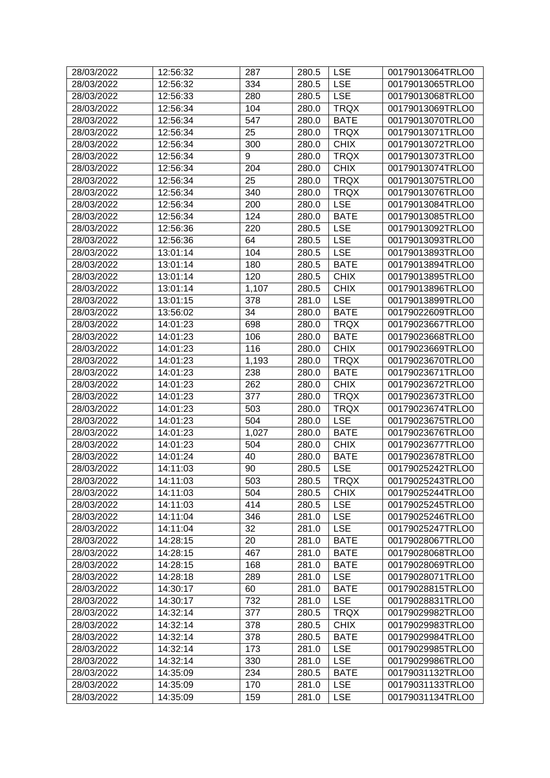| 28/03/2022 | 12:56:32 | 287   | 280.5              | <b>LSE</b>  | 00179013064TRLO0 |
|------------|----------|-------|--------------------|-------------|------------------|
| 28/03/2022 | 12:56:32 | 334   | 280.5              | <b>LSE</b>  | 00179013065TRLO0 |
| 28/03/2022 | 12:56:33 | 280   | 280.5              | <b>LSE</b>  | 00179013068TRLO0 |
| 28/03/2022 | 12:56:34 | 104   | 280.0              | <b>TRQX</b> | 00179013069TRLO0 |
| 28/03/2022 | 12:56:34 | 547   | 280.0              | <b>BATE</b> | 00179013070TRLO0 |
| 28/03/2022 | 12:56:34 | 25    | 280.0              | <b>TRQX</b> | 00179013071TRLO0 |
| 28/03/2022 | 12:56:34 | 300   | 280.0              | <b>CHIX</b> | 00179013072TRLO0 |
| 28/03/2022 | 12:56:34 | 9     | 280.0              | <b>TRQX</b> | 00179013073TRLO0 |
| 28/03/2022 | 12:56:34 | 204   | 280.0              | <b>CHIX</b> | 00179013074TRLO0 |
| 28/03/2022 | 12:56:34 | 25    | 280.0              | <b>TRQX</b> | 00179013075TRLO0 |
| 28/03/2022 | 12:56:34 | 340   | 280.0              | <b>TRQX</b> | 00179013076TRLO0 |
| 28/03/2022 | 12:56:34 | 200   | 280.0              | <b>LSE</b>  | 00179013084TRLO0 |
| 28/03/2022 | 12:56:34 | 124   | 280.0              | <b>BATE</b> | 00179013085TRLO0 |
| 28/03/2022 | 12:56:36 | 220   | 280.5              | <b>LSE</b>  | 00179013092TRLO0 |
| 28/03/2022 | 12:56:36 | 64    | 280.5              | <b>LSE</b>  | 00179013093TRLO0 |
| 28/03/2022 | 13:01:14 | 104   | 280.5              | <b>LSE</b>  | 00179013893TRLO0 |
| 28/03/2022 | 13:01:14 | 180   | 280.5              | <b>BATE</b> | 00179013894TRLO0 |
| 28/03/2022 | 13:01:14 | 120   | 280.5              | <b>CHIX</b> | 00179013895TRLO0 |
| 28/03/2022 | 13:01:14 | 1,107 | 280.5              | <b>CHIX</b> | 00179013896TRLO0 |
| 28/03/2022 | 13:01:15 | 378   | 281.0              | <b>LSE</b>  | 00179013899TRLO0 |
| 28/03/2022 | 13:56:02 | 34    | 280.0              | <b>BATE</b> | 00179022609TRLO0 |
| 28/03/2022 | 14:01:23 | 698   | 280.0              | <b>TRQX</b> | 00179023667TRLO0 |
| 28/03/2022 | 14:01:23 | 106   | 280.0              | <b>BATE</b> | 00179023668TRLO0 |
| 28/03/2022 | 14:01:23 | 116   | 280.0              | <b>CHIX</b> | 00179023669TRLO0 |
| 28/03/2022 | 14:01:23 | 1,193 | 280.0              | <b>TRQX</b> | 00179023670TRLO0 |
| 28/03/2022 | 14:01:23 | 238   | 280.0              | <b>BATE</b> | 00179023671TRLO0 |
| 28/03/2022 | 14:01:23 | 262   | 280.0              | <b>CHIX</b> | 00179023672TRLO0 |
| 28/03/2022 | 14:01:23 | 377   | 280.0              | <b>TRQX</b> | 00179023673TRLO0 |
| 28/03/2022 | 14:01:23 | 503   | 280.0              | <b>TRQX</b> | 00179023674TRLO0 |
| 28/03/2022 | 14:01:23 | 504   | 280.0              | <b>LSE</b>  | 00179023675TRLO0 |
| 28/03/2022 | 14:01:23 | 1,027 | 280.0              | <b>BATE</b> | 00179023676TRLO0 |
| 28/03/2022 | 14:01:23 | 504   | 280.0              | <b>CHIX</b> | 00179023677TRLO0 |
| 28/03/2022 | 14:01:24 | 40    | 280.0              | <b>BATE</b> | 00179023678TRLO0 |
| 28/03/2022 | 14:11:03 | 90    | 280.5              | <b>LSE</b>  | 00179025242TRLO0 |
| 28/03/2022 | 14:11:03 | 503   | $\overline{280.5}$ | <b>TRQX</b> | 00179025243TRLO0 |
| 28/03/2022 | 14:11:03 | 504   | 280.5              | <b>CHIX</b> | 00179025244TRLO0 |
| 28/03/2022 | 14:11:03 | 414   | 280.5              | <b>LSE</b>  | 00179025245TRLO0 |
| 28/03/2022 | 14:11:04 | 346   | 281.0              | <b>LSE</b>  | 00179025246TRLO0 |
| 28/03/2022 | 14:11:04 | 32    | 281.0              | <b>LSE</b>  | 00179025247TRLO0 |
| 28/03/2022 | 14:28:15 | 20    | 281.0              | <b>BATE</b> | 00179028067TRLO0 |
| 28/03/2022 | 14:28:15 | 467   | 281.0              | <b>BATE</b> | 00179028068TRLO0 |
| 28/03/2022 | 14:28:15 | 168   | 281.0              | <b>BATE</b> | 00179028069TRLO0 |
| 28/03/2022 | 14:28:18 | 289   | 281.0              | <b>LSE</b>  | 00179028071TRLO0 |
| 28/03/2022 | 14:30:17 | 60    | 281.0              | <b>BATE</b> | 00179028815TRLO0 |
| 28/03/2022 | 14:30:17 | 732   | 281.0              | <b>LSE</b>  | 00179028831TRLO0 |
| 28/03/2022 | 14:32:14 | 377   | 280.5              | <b>TRQX</b> | 00179029982TRLO0 |
| 28/03/2022 | 14:32:14 | 378   | 280.5              | <b>CHIX</b> | 00179029983TRLO0 |
| 28/03/2022 | 14:32:14 | 378   | 280.5              | <b>BATE</b> | 00179029984TRLO0 |
| 28/03/2022 | 14:32:14 | 173   | 281.0              | <b>LSE</b>  | 00179029985TRLO0 |
| 28/03/2022 | 14:32:14 | 330   | 281.0              | <b>LSE</b>  | 00179029986TRLO0 |
| 28/03/2022 | 14:35:09 | 234   | 280.5              | <b>BATE</b> | 00179031132TRLO0 |
| 28/03/2022 | 14:35:09 | 170   | 281.0              | <b>LSE</b>  | 00179031133TRLO0 |
| 28/03/2022 | 14:35:09 | 159   | 281.0              | <b>LSE</b>  | 00179031134TRLO0 |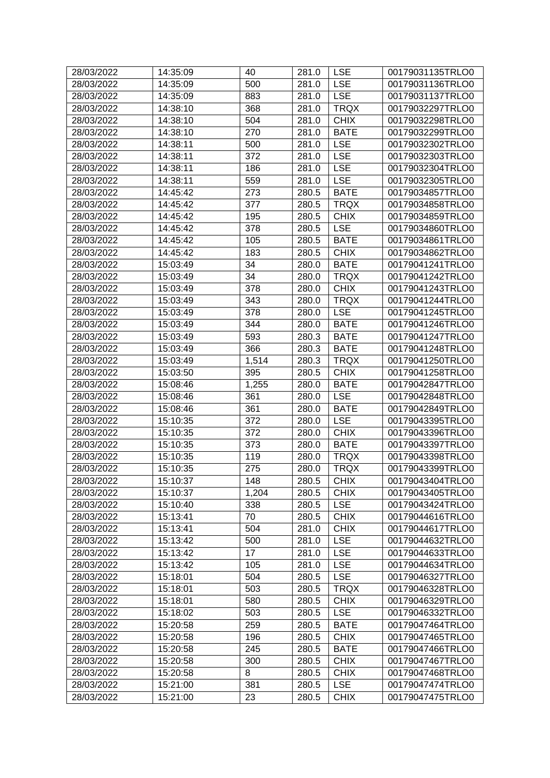| 500<br><b>LSE</b><br>00179031136TRLO0<br>28/03/2022<br>14:35:09<br>281.0<br>14:35:09<br>883<br><b>LSE</b><br>00179031137TRLO0<br>28/03/2022<br>281.0<br>368<br>28/03/2022<br><b>TRQX</b><br>00179032297TRLO0<br>14:38:10<br>281.0<br>504<br><b>CHIX</b><br>28/03/2022<br>14:38:10<br>281.0<br>00179032298TRLO0<br>28/03/2022<br>14:38:10<br>270<br><b>BATE</b><br>00179032299TRLO0<br>281.0<br>500<br><b>LSE</b><br>28/03/2022<br>14:38:11<br>281.0<br>00179032302TRLO0<br>372<br><b>LSE</b><br>28/03/2022<br>14:38:11<br>00179032303TRLO0<br>281.0<br>28/03/2022<br>14:38:11<br>186<br><b>LSE</b><br>00179032304TRLO0<br>281.0<br><b>LSE</b><br>28/03/2022<br>559<br>00179032305TRLO0<br>14:38:11<br>281.0<br>273<br><b>BATE</b><br>28/03/2022<br>14:45:42<br>280.5<br>00179034857TRLO0<br>28/03/2022<br>14:45:42<br>377<br>280.5<br><b>TRQX</b><br>00179034858TRLO0<br>195<br><b>CHIX</b><br>28/03/2022<br>14:45:42<br>280.5<br>00179034859TRLO0<br>378<br><b>LSE</b><br>28/03/2022<br>14:45:42<br>280.5<br>00179034860TRLO0<br>28/03/2022<br>14:45:42<br>105<br>280.5<br><b>BATE</b><br>00179034861TRLO0<br><b>CHIX</b><br>28/03/2022<br>183<br>14:45:42<br>280.5<br>00179034862TRLO0<br>28/03/2022<br>34<br><b>BATE</b><br>00179041241TRLO0<br>15:03:49<br>280.0<br>34<br>28/03/2022<br>15:03:49<br><b>TRQX</b><br>00179041242TRLO0<br>280.0<br><b>CHIX</b><br>28/03/2022<br>15:03:49<br>378<br>280.0<br>00179041243TRLO0<br><b>TRQX</b><br>28/03/2022<br>15:03:49<br>343<br>00179041244TRLO0<br>280.0<br>28/03/2022<br>378<br><b>LSE</b><br>00179041245TRLO0<br>15:03:49<br>280.0<br>344<br>28/03/2022<br><b>BATE</b><br>15:03:49<br>280.0<br>00179041246TRLO0<br>593<br>28/03/2022<br><b>BATE</b><br>00179041247TRLO0<br>15:03:49<br>280.3<br>366<br>28/03/2022<br><b>BATE</b><br>00179041248TRLO0<br>15:03:49<br>280.3<br><b>TRQX</b><br>28/03/2022<br>1,514<br>280.3<br>00179041250TRLO0<br>15:03:49<br>28/03/2022<br>15:03:50<br>395<br>280.5<br><b>CHIX</b><br>00179041258TRLO0<br>28/03/2022<br>1,255<br><b>BATE</b><br>00179042847TRLO0<br>15:08:46<br>280.0<br><b>LSE</b><br>28/03/2022<br>361<br>15:08:46<br>280.0<br>00179042848TRLO0<br>28/03/2022<br>361<br><b>BATE</b><br>00179042849TRLO0<br>15:08:46<br>280.0<br><b>LSE</b><br>28/03/2022<br>15:10:35<br>372<br>280.0<br>00179043395TRLO0<br>372<br><b>CHIX</b><br>28/03/2022<br>15:10:35<br>280.0<br>00179043396TRLO0<br>373<br><b>BATE</b><br>00179043397TRLO0<br>28/03/2022<br>15:10:35<br>280.0<br>28/03/2022<br>15:10:35<br>119<br><b>TRQX</b><br>00179043398TRLO0<br>280.0<br>28/03/2022<br>15:10:35<br>275<br><b>TRQX</b><br>00179043399TRLO0<br>280.0<br>15:10:37<br>148<br>280.5<br><b>CHIX</b><br>28/03/2022<br>00179043404TRLO0<br><b>CHIX</b><br>28/03/2022<br>15:10:37<br>1,204<br>280.5<br>00179043405TRLO0<br>28/03/2022<br>338<br><b>LSE</b><br>15:10:40<br>280.5<br>00179043424TRLO0<br>28/03/2022<br>15:13:41<br>70<br><b>CHIX</b><br>00179044616TRLO0<br>280.5<br>28/03/2022<br>504<br>281.0<br><b>CHIX</b><br>00179044617TRLO0<br>15:13:41<br>500<br><b>LSE</b><br>28/03/2022<br>15:13:42<br>281.0<br>00179044632TRLO0<br>17<br><b>LSE</b><br>28/03/2022<br>15:13:42<br>281.0<br>00179044633TRLO0<br>28/03/2022<br>15:13:42<br>105<br><b>LSE</b><br>00179044634TRLO0<br>281.0<br>504<br><b>LSE</b><br>28/03/2022<br>280.5<br>15:18:01<br>00179046327TRLO0<br><b>TRQX</b><br>28/03/2022<br>503<br>280.5<br>00179046328TRLO0<br>15:18:01<br>580<br><b>CHIX</b><br>28/03/2022<br>15:18:01<br>280.5<br>00179046329TRLO0<br>503<br><b>LSE</b><br>28/03/2022<br>15:18:02<br>280.5<br>00179046332TRLO0<br>259<br>28/03/2022<br>15:20:58<br>280.5<br><b>BATE</b><br>00179047464TRLO0<br><b>CHIX</b><br>15:20:58<br>196<br>280.5<br>28/03/2022<br>00179047465TRLO0<br>28/03/2022<br>245<br><b>BATE</b><br>15:20:58<br>280.5<br>00179047466TRLO0<br>28/03/2022<br>15:20:58<br>300<br>280.5<br><b>CHIX</b><br>00179047467TRLO0<br><b>CHIX</b><br>28/03/2022<br>15:20:58<br>8<br>280.5<br>00179047468TRLO0<br>381<br><b>LSE</b><br>28/03/2022<br>15:21:00<br>280.5<br>00179047474TRLO0<br>28/03/2022<br>15:21:00<br>23<br><b>CHIX</b><br>00179047475TRLO0<br>280.5 | 28/03/2022 | 14:35:09 | 40 | 281.0 | <b>LSE</b> | 00179031135TRLO0 |
|------------------------------------------------------------------------------------------------------------------------------------------------------------------------------------------------------------------------------------------------------------------------------------------------------------------------------------------------------------------------------------------------------------------------------------------------------------------------------------------------------------------------------------------------------------------------------------------------------------------------------------------------------------------------------------------------------------------------------------------------------------------------------------------------------------------------------------------------------------------------------------------------------------------------------------------------------------------------------------------------------------------------------------------------------------------------------------------------------------------------------------------------------------------------------------------------------------------------------------------------------------------------------------------------------------------------------------------------------------------------------------------------------------------------------------------------------------------------------------------------------------------------------------------------------------------------------------------------------------------------------------------------------------------------------------------------------------------------------------------------------------------------------------------------------------------------------------------------------------------------------------------------------------------------------------------------------------------------------------------------------------------------------------------------------------------------------------------------------------------------------------------------------------------------------------------------------------------------------------------------------------------------------------------------------------------------------------------------------------------------------------------------------------------------------------------------------------------------------------------------------------------------------------------------------------------------------------------------------------------------------------------------------------------------------------------------------------------------------------------------------------------------------------------------------------------------------------------------------------------------------------------------------------------------------------------------------------------------------------------------------------------------------------------------------------------------------------------------------------------------------------------------------------------------------------------------------------------------------------------------------------------------------------------------------------------------------------------------------------------------------------------------------------------------------------------------------------------------------------------------------------------------------------------------------------------------------------------------------------------------------------------------------------------------------------------------------------------------------------------------------------------------------------------------------------------------------------------------------------------------------------------------------------------------------------------------------------------------------------------------------------------------------------------------------------------------------------------------------------------------------------------------|------------|----------|----|-------|------------|------------------|
|                                                                                                                                                                                                                                                                                                                                                                                                                                                                                                                                                                                                                                                                                                                                                                                                                                                                                                                                                                                                                                                                                                                                                                                                                                                                                                                                                                                                                                                                                                                                                                                                                                                                                                                                                                                                                                                                                                                                                                                                                                                                                                                                                                                                                                                                                                                                                                                                                                                                                                                                                                                                                                                                                                                                                                                                                                                                                                                                                                                                                                                                                                                                                                                                                                                                                                                                                                                                                                                                                                                                                                                                                                                                                                                                                                                                                                                                                                                                                                                                                                                                                                                                                |            |          |    |       |            |                  |
|                                                                                                                                                                                                                                                                                                                                                                                                                                                                                                                                                                                                                                                                                                                                                                                                                                                                                                                                                                                                                                                                                                                                                                                                                                                                                                                                                                                                                                                                                                                                                                                                                                                                                                                                                                                                                                                                                                                                                                                                                                                                                                                                                                                                                                                                                                                                                                                                                                                                                                                                                                                                                                                                                                                                                                                                                                                                                                                                                                                                                                                                                                                                                                                                                                                                                                                                                                                                                                                                                                                                                                                                                                                                                                                                                                                                                                                                                                                                                                                                                                                                                                                                                |            |          |    |       |            |                  |
|                                                                                                                                                                                                                                                                                                                                                                                                                                                                                                                                                                                                                                                                                                                                                                                                                                                                                                                                                                                                                                                                                                                                                                                                                                                                                                                                                                                                                                                                                                                                                                                                                                                                                                                                                                                                                                                                                                                                                                                                                                                                                                                                                                                                                                                                                                                                                                                                                                                                                                                                                                                                                                                                                                                                                                                                                                                                                                                                                                                                                                                                                                                                                                                                                                                                                                                                                                                                                                                                                                                                                                                                                                                                                                                                                                                                                                                                                                                                                                                                                                                                                                                                                |            |          |    |       |            |                  |
|                                                                                                                                                                                                                                                                                                                                                                                                                                                                                                                                                                                                                                                                                                                                                                                                                                                                                                                                                                                                                                                                                                                                                                                                                                                                                                                                                                                                                                                                                                                                                                                                                                                                                                                                                                                                                                                                                                                                                                                                                                                                                                                                                                                                                                                                                                                                                                                                                                                                                                                                                                                                                                                                                                                                                                                                                                                                                                                                                                                                                                                                                                                                                                                                                                                                                                                                                                                                                                                                                                                                                                                                                                                                                                                                                                                                                                                                                                                                                                                                                                                                                                                                                |            |          |    |       |            |                  |
|                                                                                                                                                                                                                                                                                                                                                                                                                                                                                                                                                                                                                                                                                                                                                                                                                                                                                                                                                                                                                                                                                                                                                                                                                                                                                                                                                                                                                                                                                                                                                                                                                                                                                                                                                                                                                                                                                                                                                                                                                                                                                                                                                                                                                                                                                                                                                                                                                                                                                                                                                                                                                                                                                                                                                                                                                                                                                                                                                                                                                                                                                                                                                                                                                                                                                                                                                                                                                                                                                                                                                                                                                                                                                                                                                                                                                                                                                                                                                                                                                                                                                                                                                |            |          |    |       |            |                  |
|                                                                                                                                                                                                                                                                                                                                                                                                                                                                                                                                                                                                                                                                                                                                                                                                                                                                                                                                                                                                                                                                                                                                                                                                                                                                                                                                                                                                                                                                                                                                                                                                                                                                                                                                                                                                                                                                                                                                                                                                                                                                                                                                                                                                                                                                                                                                                                                                                                                                                                                                                                                                                                                                                                                                                                                                                                                                                                                                                                                                                                                                                                                                                                                                                                                                                                                                                                                                                                                                                                                                                                                                                                                                                                                                                                                                                                                                                                                                                                                                                                                                                                                                                |            |          |    |       |            |                  |
|                                                                                                                                                                                                                                                                                                                                                                                                                                                                                                                                                                                                                                                                                                                                                                                                                                                                                                                                                                                                                                                                                                                                                                                                                                                                                                                                                                                                                                                                                                                                                                                                                                                                                                                                                                                                                                                                                                                                                                                                                                                                                                                                                                                                                                                                                                                                                                                                                                                                                                                                                                                                                                                                                                                                                                                                                                                                                                                                                                                                                                                                                                                                                                                                                                                                                                                                                                                                                                                                                                                                                                                                                                                                                                                                                                                                                                                                                                                                                                                                                                                                                                                                                |            |          |    |       |            |                  |
|                                                                                                                                                                                                                                                                                                                                                                                                                                                                                                                                                                                                                                                                                                                                                                                                                                                                                                                                                                                                                                                                                                                                                                                                                                                                                                                                                                                                                                                                                                                                                                                                                                                                                                                                                                                                                                                                                                                                                                                                                                                                                                                                                                                                                                                                                                                                                                                                                                                                                                                                                                                                                                                                                                                                                                                                                                                                                                                                                                                                                                                                                                                                                                                                                                                                                                                                                                                                                                                                                                                                                                                                                                                                                                                                                                                                                                                                                                                                                                                                                                                                                                                                                |            |          |    |       |            |                  |
|                                                                                                                                                                                                                                                                                                                                                                                                                                                                                                                                                                                                                                                                                                                                                                                                                                                                                                                                                                                                                                                                                                                                                                                                                                                                                                                                                                                                                                                                                                                                                                                                                                                                                                                                                                                                                                                                                                                                                                                                                                                                                                                                                                                                                                                                                                                                                                                                                                                                                                                                                                                                                                                                                                                                                                                                                                                                                                                                                                                                                                                                                                                                                                                                                                                                                                                                                                                                                                                                                                                                                                                                                                                                                                                                                                                                                                                                                                                                                                                                                                                                                                                                                |            |          |    |       |            |                  |
|                                                                                                                                                                                                                                                                                                                                                                                                                                                                                                                                                                                                                                                                                                                                                                                                                                                                                                                                                                                                                                                                                                                                                                                                                                                                                                                                                                                                                                                                                                                                                                                                                                                                                                                                                                                                                                                                                                                                                                                                                                                                                                                                                                                                                                                                                                                                                                                                                                                                                                                                                                                                                                                                                                                                                                                                                                                                                                                                                                                                                                                                                                                                                                                                                                                                                                                                                                                                                                                                                                                                                                                                                                                                                                                                                                                                                                                                                                                                                                                                                                                                                                                                                |            |          |    |       |            |                  |
|                                                                                                                                                                                                                                                                                                                                                                                                                                                                                                                                                                                                                                                                                                                                                                                                                                                                                                                                                                                                                                                                                                                                                                                                                                                                                                                                                                                                                                                                                                                                                                                                                                                                                                                                                                                                                                                                                                                                                                                                                                                                                                                                                                                                                                                                                                                                                                                                                                                                                                                                                                                                                                                                                                                                                                                                                                                                                                                                                                                                                                                                                                                                                                                                                                                                                                                                                                                                                                                                                                                                                                                                                                                                                                                                                                                                                                                                                                                                                                                                                                                                                                                                                |            |          |    |       |            |                  |
|                                                                                                                                                                                                                                                                                                                                                                                                                                                                                                                                                                                                                                                                                                                                                                                                                                                                                                                                                                                                                                                                                                                                                                                                                                                                                                                                                                                                                                                                                                                                                                                                                                                                                                                                                                                                                                                                                                                                                                                                                                                                                                                                                                                                                                                                                                                                                                                                                                                                                                                                                                                                                                                                                                                                                                                                                                                                                                                                                                                                                                                                                                                                                                                                                                                                                                                                                                                                                                                                                                                                                                                                                                                                                                                                                                                                                                                                                                                                                                                                                                                                                                                                                |            |          |    |       |            |                  |
|                                                                                                                                                                                                                                                                                                                                                                                                                                                                                                                                                                                                                                                                                                                                                                                                                                                                                                                                                                                                                                                                                                                                                                                                                                                                                                                                                                                                                                                                                                                                                                                                                                                                                                                                                                                                                                                                                                                                                                                                                                                                                                                                                                                                                                                                                                                                                                                                                                                                                                                                                                                                                                                                                                                                                                                                                                                                                                                                                                                                                                                                                                                                                                                                                                                                                                                                                                                                                                                                                                                                                                                                                                                                                                                                                                                                                                                                                                                                                                                                                                                                                                                                                |            |          |    |       |            |                  |
|                                                                                                                                                                                                                                                                                                                                                                                                                                                                                                                                                                                                                                                                                                                                                                                                                                                                                                                                                                                                                                                                                                                                                                                                                                                                                                                                                                                                                                                                                                                                                                                                                                                                                                                                                                                                                                                                                                                                                                                                                                                                                                                                                                                                                                                                                                                                                                                                                                                                                                                                                                                                                                                                                                                                                                                                                                                                                                                                                                                                                                                                                                                                                                                                                                                                                                                                                                                                                                                                                                                                                                                                                                                                                                                                                                                                                                                                                                                                                                                                                                                                                                                                                |            |          |    |       |            |                  |
|                                                                                                                                                                                                                                                                                                                                                                                                                                                                                                                                                                                                                                                                                                                                                                                                                                                                                                                                                                                                                                                                                                                                                                                                                                                                                                                                                                                                                                                                                                                                                                                                                                                                                                                                                                                                                                                                                                                                                                                                                                                                                                                                                                                                                                                                                                                                                                                                                                                                                                                                                                                                                                                                                                                                                                                                                                                                                                                                                                                                                                                                                                                                                                                                                                                                                                                                                                                                                                                                                                                                                                                                                                                                                                                                                                                                                                                                                                                                                                                                                                                                                                                                                |            |          |    |       |            |                  |
|                                                                                                                                                                                                                                                                                                                                                                                                                                                                                                                                                                                                                                                                                                                                                                                                                                                                                                                                                                                                                                                                                                                                                                                                                                                                                                                                                                                                                                                                                                                                                                                                                                                                                                                                                                                                                                                                                                                                                                                                                                                                                                                                                                                                                                                                                                                                                                                                                                                                                                                                                                                                                                                                                                                                                                                                                                                                                                                                                                                                                                                                                                                                                                                                                                                                                                                                                                                                                                                                                                                                                                                                                                                                                                                                                                                                                                                                                                                                                                                                                                                                                                                                                |            |          |    |       |            |                  |
|                                                                                                                                                                                                                                                                                                                                                                                                                                                                                                                                                                                                                                                                                                                                                                                                                                                                                                                                                                                                                                                                                                                                                                                                                                                                                                                                                                                                                                                                                                                                                                                                                                                                                                                                                                                                                                                                                                                                                                                                                                                                                                                                                                                                                                                                                                                                                                                                                                                                                                                                                                                                                                                                                                                                                                                                                                                                                                                                                                                                                                                                                                                                                                                                                                                                                                                                                                                                                                                                                                                                                                                                                                                                                                                                                                                                                                                                                                                                                                                                                                                                                                                                                |            |          |    |       |            |                  |
|                                                                                                                                                                                                                                                                                                                                                                                                                                                                                                                                                                                                                                                                                                                                                                                                                                                                                                                                                                                                                                                                                                                                                                                                                                                                                                                                                                                                                                                                                                                                                                                                                                                                                                                                                                                                                                                                                                                                                                                                                                                                                                                                                                                                                                                                                                                                                                                                                                                                                                                                                                                                                                                                                                                                                                                                                                                                                                                                                                                                                                                                                                                                                                                                                                                                                                                                                                                                                                                                                                                                                                                                                                                                                                                                                                                                                                                                                                                                                                                                                                                                                                                                                |            |          |    |       |            |                  |
|                                                                                                                                                                                                                                                                                                                                                                                                                                                                                                                                                                                                                                                                                                                                                                                                                                                                                                                                                                                                                                                                                                                                                                                                                                                                                                                                                                                                                                                                                                                                                                                                                                                                                                                                                                                                                                                                                                                                                                                                                                                                                                                                                                                                                                                                                                                                                                                                                                                                                                                                                                                                                                                                                                                                                                                                                                                                                                                                                                                                                                                                                                                                                                                                                                                                                                                                                                                                                                                                                                                                                                                                                                                                                                                                                                                                                                                                                                                                                                                                                                                                                                                                                |            |          |    |       |            |                  |
|                                                                                                                                                                                                                                                                                                                                                                                                                                                                                                                                                                                                                                                                                                                                                                                                                                                                                                                                                                                                                                                                                                                                                                                                                                                                                                                                                                                                                                                                                                                                                                                                                                                                                                                                                                                                                                                                                                                                                                                                                                                                                                                                                                                                                                                                                                                                                                                                                                                                                                                                                                                                                                                                                                                                                                                                                                                                                                                                                                                                                                                                                                                                                                                                                                                                                                                                                                                                                                                                                                                                                                                                                                                                                                                                                                                                                                                                                                                                                                                                                                                                                                                                                |            |          |    |       |            |                  |
|                                                                                                                                                                                                                                                                                                                                                                                                                                                                                                                                                                                                                                                                                                                                                                                                                                                                                                                                                                                                                                                                                                                                                                                                                                                                                                                                                                                                                                                                                                                                                                                                                                                                                                                                                                                                                                                                                                                                                                                                                                                                                                                                                                                                                                                                                                                                                                                                                                                                                                                                                                                                                                                                                                                                                                                                                                                                                                                                                                                                                                                                                                                                                                                                                                                                                                                                                                                                                                                                                                                                                                                                                                                                                                                                                                                                                                                                                                                                                                                                                                                                                                                                                |            |          |    |       |            |                  |
|                                                                                                                                                                                                                                                                                                                                                                                                                                                                                                                                                                                                                                                                                                                                                                                                                                                                                                                                                                                                                                                                                                                                                                                                                                                                                                                                                                                                                                                                                                                                                                                                                                                                                                                                                                                                                                                                                                                                                                                                                                                                                                                                                                                                                                                                                                                                                                                                                                                                                                                                                                                                                                                                                                                                                                                                                                                                                                                                                                                                                                                                                                                                                                                                                                                                                                                                                                                                                                                                                                                                                                                                                                                                                                                                                                                                                                                                                                                                                                                                                                                                                                                                                |            |          |    |       |            |                  |
|                                                                                                                                                                                                                                                                                                                                                                                                                                                                                                                                                                                                                                                                                                                                                                                                                                                                                                                                                                                                                                                                                                                                                                                                                                                                                                                                                                                                                                                                                                                                                                                                                                                                                                                                                                                                                                                                                                                                                                                                                                                                                                                                                                                                                                                                                                                                                                                                                                                                                                                                                                                                                                                                                                                                                                                                                                                                                                                                                                                                                                                                                                                                                                                                                                                                                                                                                                                                                                                                                                                                                                                                                                                                                                                                                                                                                                                                                                                                                                                                                                                                                                                                                |            |          |    |       |            |                  |
|                                                                                                                                                                                                                                                                                                                                                                                                                                                                                                                                                                                                                                                                                                                                                                                                                                                                                                                                                                                                                                                                                                                                                                                                                                                                                                                                                                                                                                                                                                                                                                                                                                                                                                                                                                                                                                                                                                                                                                                                                                                                                                                                                                                                                                                                                                                                                                                                                                                                                                                                                                                                                                                                                                                                                                                                                                                                                                                                                                                                                                                                                                                                                                                                                                                                                                                                                                                                                                                                                                                                                                                                                                                                                                                                                                                                                                                                                                                                                                                                                                                                                                                                                |            |          |    |       |            |                  |
|                                                                                                                                                                                                                                                                                                                                                                                                                                                                                                                                                                                                                                                                                                                                                                                                                                                                                                                                                                                                                                                                                                                                                                                                                                                                                                                                                                                                                                                                                                                                                                                                                                                                                                                                                                                                                                                                                                                                                                                                                                                                                                                                                                                                                                                                                                                                                                                                                                                                                                                                                                                                                                                                                                                                                                                                                                                                                                                                                                                                                                                                                                                                                                                                                                                                                                                                                                                                                                                                                                                                                                                                                                                                                                                                                                                                                                                                                                                                                                                                                                                                                                                                                |            |          |    |       |            |                  |
|                                                                                                                                                                                                                                                                                                                                                                                                                                                                                                                                                                                                                                                                                                                                                                                                                                                                                                                                                                                                                                                                                                                                                                                                                                                                                                                                                                                                                                                                                                                                                                                                                                                                                                                                                                                                                                                                                                                                                                                                                                                                                                                                                                                                                                                                                                                                                                                                                                                                                                                                                                                                                                                                                                                                                                                                                                                                                                                                                                                                                                                                                                                                                                                                                                                                                                                                                                                                                                                                                                                                                                                                                                                                                                                                                                                                                                                                                                                                                                                                                                                                                                                                                |            |          |    |       |            |                  |
|                                                                                                                                                                                                                                                                                                                                                                                                                                                                                                                                                                                                                                                                                                                                                                                                                                                                                                                                                                                                                                                                                                                                                                                                                                                                                                                                                                                                                                                                                                                                                                                                                                                                                                                                                                                                                                                                                                                                                                                                                                                                                                                                                                                                                                                                                                                                                                                                                                                                                                                                                                                                                                                                                                                                                                                                                                                                                                                                                                                                                                                                                                                                                                                                                                                                                                                                                                                                                                                                                                                                                                                                                                                                                                                                                                                                                                                                                                                                                                                                                                                                                                                                                |            |          |    |       |            |                  |
|                                                                                                                                                                                                                                                                                                                                                                                                                                                                                                                                                                                                                                                                                                                                                                                                                                                                                                                                                                                                                                                                                                                                                                                                                                                                                                                                                                                                                                                                                                                                                                                                                                                                                                                                                                                                                                                                                                                                                                                                                                                                                                                                                                                                                                                                                                                                                                                                                                                                                                                                                                                                                                                                                                                                                                                                                                                                                                                                                                                                                                                                                                                                                                                                                                                                                                                                                                                                                                                                                                                                                                                                                                                                                                                                                                                                                                                                                                                                                                                                                                                                                                                                                |            |          |    |       |            |                  |
|                                                                                                                                                                                                                                                                                                                                                                                                                                                                                                                                                                                                                                                                                                                                                                                                                                                                                                                                                                                                                                                                                                                                                                                                                                                                                                                                                                                                                                                                                                                                                                                                                                                                                                                                                                                                                                                                                                                                                                                                                                                                                                                                                                                                                                                                                                                                                                                                                                                                                                                                                                                                                                                                                                                                                                                                                                                                                                                                                                                                                                                                                                                                                                                                                                                                                                                                                                                                                                                                                                                                                                                                                                                                                                                                                                                                                                                                                                                                                                                                                                                                                                                                                |            |          |    |       |            |                  |
|                                                                                                                                                                                                                                                                                                                                                                                                                                                                                                                                                                                                                                                                                                                                                                                                                                                                                                                                                                                                                                                                                                                                                                                                                                                                                                                                                                                                                                                                                                                                                                                                                                                                                                                                                                                                                                                                                                                                                                                                                                                                                                                                                                                                                                                                                                                                                                                                                                                                                                                                                                                                                                                                                                                                                                                                                                                                                                                                                                                                                                                                                                                                                                                                                                                                                                                                                                                                                                                                                                                                                                                                                                                                                                                                                                                                                                                                                                                                                                                                                                                                                                                                                |            |          |    |       |            |                  |
|                                                                                                                                                                                                                                                                                                                                                                                                                                                                                                                                                                                                                                                                                                                                                                                                                                                                                                                                                                                                                                                                                                                                                                                                                                                                                                                                                                                                                                                                                                                                                                                                                                                                                                                                                                                                                                                                                                                                                                                                                                                                                                                                                                                                                                                                                                                                                                                                                                                                                                                                                                                                                                                                                                                                                                                                                                                                                                                                                                                                                                                                                                                                                                                                                                                                                                                                                                                                                                                                                                                                                                                                                                                                                                                                                                                                                                                                                                                                                                                                                                                                                                                                                |            |          |    |       |            |                  |
|                                                                                                                                                                                                                                                                                                                                                                                                                                                                                                                                                                                                                                                                                                                                                                                                                                                                                                                                                                                                                                                                                                                                                                                                                                                                                                                                                                                                                                                                                                                                                                                                                                                                                                                                                                                                                                                                                                                                                                                                                                                                                                                                                                                                                                                                                                                                                                                                                                                                                                                                                                                                                                                                                                                                                                                                                                                                                                                                                                                                                                                                                                                                                                                                                                                                                                                                                                                                                                                                                                                                                                                                                                                                                                                                                                                                                                                                                                                                                                                                                                                                                                                                                |            |          |    |       |            |                  |
|                                                                                                                                                                                                                                                                                                                                                                                                                                                                                                                                                                                                                                                                                                                                                                                                                                                                                                                                                                                                                                                                                                                                                                                                                                                                                                                                                                                                                                                                                                                                                                                                                                                                                                                                                                                                                                                                                                                                                                                                                                                                                                                                                                                                                                                                                                                                                                                                                                                                                                                                                                                                                                                                                                                                                                                                                                                                                                                                                                                                                                                                                                                                                                                                                                                                                                                                                                                                                                                                                                                                                                                                                                                                                                                                                                                                                                                                                                                                                                                                                                                                                                                                                |            |          |    |       |            |                  |
|                                                                                                                                                                                                                                                                                                                                                                                                                                                                                                                                                                                                                                                                                                                                                                                                                                                                                                                                                                                                                                                                                                                                                                                                                                                                                                                                                                                                                                                                                                                                                                                                                                                                                                                                                                                                                                                                                                                                                                                                                                                                                                                                                                                                                                                                                                                                                                                                                                                                                                                                                                                                                                                                                                                                                                                                                                                                                                                                                                                                                                                                                                                                                                                                                                                                                                                                                                                                                                                                                                                                                                                                                                                                                                                                                                                                                                                                                                                                                                                                                                                                                                                                                |            |          |    |       |            |                  |
|                                                                                                                                                                                                                                                                                                                                                                                                                                                                                                                                                                                                                                                                                                                                                                                                                                                                                                                                                                                                                                                                                                                                                                                                                                                                                                                                                                                                                                                                                                                                                                                                                                                                                                                                                                                                                                                                                                                                                                                                                                                                                                                                                                                                                                                                                                                                                                                                                                                                                                                                                                                                                                                                                                                                                                                                                                                                                                                                                                                                                                                                                                                                                                                                                                                                                                                                                                                                                                                                                                                                                                                                                                                                                                                                                                                                                                                                                                                                                                                                                                                                                                                                                |            |          |    |       |            |                  |
|                                                                                                                                                                                                                                                                                                                                                                                                                                                                                                                                                                                                                                                                                                                                                                                                                                                                                                                                                                                                                                                                                                                                                                                                                                                                                                                                                                                                                                                                                                                                                                                                                                                                                                                                                                                                                                                                                                                                                                                                                                                                                                                                                                                                                                                                                                                                                                                                                                                                                                                                                                                                                                                                                                                                                                                                                                                                                                                                                                                                                                                                                                                                                                                                                                                                                                                                                                                                                                                                                                                                                                                                                                                                                                                                                                                                                                                                                                                                                                                                                                                                                                                                                |            |          |    |       |            |                  |
|                                                                                                                                                                                                                                                                                                                                                                                                                                                                                                                                                                                                                                                                                                                                                                                                                                                                                                                                                                                                                                                                                                                                                                                                                                                                                                                                                                                                                                                                                                                                                                                                                                                                                                                                                                                                                                                                                                                                                                                                                                                                                                                                                                                                                                                                                                                                                                                                                                                                                                                                                                                                                                                                                                                                                                                                                                                                                                                                                                                                                                                                                                                                                                                                                                                                                                                                                                                                                                                                                                                                                                                                                                                                                                                                                                                                                                                                                                                                                                                                                                                                                                                                                |            |          |    |       |            |                  |
|                                                                                                                                                                                                                                                                                                                                                                                                                                                                                                                                                                                                                                                                                                                                                                                                                                                                                                                                                                                                                                                                                                                                                                                                                                                                                                                                                                                                                                                                                                                                                                                                                                                                                                                                                                                                                                                                                                                                                                                                                                                                                                                                                                                                                                                                                                                                                                                                                                                                                                                                                                                                                                                                                                                                                                                                                                                                                                                                                                                                                                                                                                                                                                                                                                                                                                                                                                                                                                                                                                                                                                                                                                                                                                                                                                                                                                                                                                                                                                                                                                                                                                                                                |            |          |    |       |            |                  |
|                                                                                                                                                                                                                                                                                                                                                                                                                                                                                                                                                                                                                                                                                                                                                                                                                                                                                                                                                                                                                                                                                                                                                                                                                                                                                                                                                                                                                                                                                                                                                                                                                                                                                                                                                                                                                                                                                                                                                                                                                                                                                                                                                                                                                                                                                                                                                                                                                                                                                                                                                                                                                                                                                                                                                                                                                                                                                                                                                                                                                                                                                                                                                                                                                                                                                                                                                                                                                                                                                                                                                                                                                                                                                                                                                                                                                                                                                                                                                                                                                                                                                                                                                |            |          |    |       |            |                  |
|                                                                                                                                                                                                                                                                                                                                                                                                                                                                                                                                                                                                                                                                                                                                                                                                                                                                                                                                                                                                                                                                                                                                                                                                                                                                                                                                                                                                                                                                                                                                                                                                                                                                                                                                                                                                                                                                                                                                                                                                                                                                                                                                                                                                                                                                                                                                                                                                                                                                                                                                                                                                                                                                                                                                                                                                                                                                                                                                                                                                                                                                                                                                                                                                                                                                                                                                                                                                                                                                                                                                                                                                                                                                                                                                                                                                                                                                                                                                                                                                                                                                                                                                                |            |          |    |       |            |                  |
|                                                                                                                                                                                                                                                                                                                                                                                                                                                                                                                                                                                                                                                                                                                                                                                                                                                                                                                                                                                                                                                                                                                                                                                                                                                                                                                                                                                                                                                                                                                                                                                                                                                                                                                                                                                                                                                                                                                                                                                                                                                                                                                                                                                                                                                                                                                                                                                                                                                                                                                                                                                                                                                                                                                                                                                                                                                                                                                                                                                                                                                                                                                                                                                                                                                                                                                                                                                                                                                                                                                                                                                                                                                                                                                                                                                                                                                                                                                                                                                                                                                                                                                                                |            |          |    |       |            |                  |
|                                                                                                                                                                                                                                                                                                                                                                                                                                                                                                                                                                                                                                                                                                                                                                                                                                                                                                                                                                                                                                                                                                                                                                                                                                                                                                                                                                                                                                                                                                                                                                                                                                                                                                                                                                                                                                                                                                                                                                                                                                                                                                                                                                                                                                                                                                                                                                                                                                                                                                                                                                                                                                                                                                                                                                                                                                                                                                                                                                                                                                                                                                                                                                                                                                                                                                                                                                                                                                                                                                                                                                                                                                                                                                                                                                                                                                                                                                                                                                                                                                                                                                                                                |            |          |    |       |            |                  |
|                                                                                                                                                                                                                                                                                                                                                                                                                                                                                                                                                                                                                                                                                                                                                                                                                                                                                                                                                                                                                                                                                                                                                                                                                                                                                                                                                                                                                                                                                                                                                                                                                                                                                                                                                                                                                                                                                                                                                                                                                                                                                                                                                                                                                                                                                                                                                                                                                                                                                                                                                                                                                                                                                                                                                                                                                                                                                                                                                                                                                                                                                                                                                                                                                                                                                                                                                                                                                                                                                                                                                                                                                                                                                                                                                                                                                                                                                                                                                                                                                                                                                                                                                |            |          |    |       |            |                  |
|                                                                                                                                                                                                                                                                                                                                                                                                                                                                                                                                                                                                                                                                                                                                                                                                                                                                                                                                                                                                                                                                                                                                                                                                                                                                                                                                                                                                                                                                                                                                                                                                                                                                                                                                                                                                                                                                                                                                                                                                                                                                                                                                                                                                                                                                                                                                                                                                                                                                                                                                                                                                                                                                                                                                                                                                                                                                                                                                                                                                                                                                                                                                                                                                                                                                                                                                                                                                                                                                                                                                                                                                                                                                                                                                                                                                                                                                                                                                                                                                                                                                                                                                                |            |          |    |       |            |                  |
|                                                                                                                                                                                                                                                                                                                                                                                                                                                                                                                                                                                                                                                                                                                                                                                                                                                                                                                                                                                                                                                                                                                                                                                                                                                                                                                                                                                                                                                                                                                                                                                                                                                                                                                                                                                                                                                                                                                                                                                                                                                                                                                                                                                                                                                                                                                                                                                                                                                                                                                                                                                                                                                                                                                                                                                                                                                                                                                                                                                                                                                                                                                                                                                                                                                                                                                                                                                                                                                                                                                                                                                                                                                                                                                                                                                                                                                                                                                                                                                                                                                                                                                                                |            |          |    |       |            |                  |
|                                                                                                                                                                                                                                                                                                                                                                                                                                                                                                                                                                                                                                                                                                                                                                                                                                                                                                                                                                                                                                                                                                                                                                                                                                                                                                                                                                                                                                                                                                                                                                                                                                                                                                                                                                                                                                                                                                                                                                                                                                                                                                                                                                                                                                                                                                                                                                                                                                                                                                                                                                                                                                                                                                                                                                                                                                                                                                                                                                                                                                                                                                                                                                                                                                                                                                                                                                                                                                                                                                                                                                                                                                                                                                                                                                                                                                                                                                                                                                                                                                                                                                                                                |            |          |    |       |            |                  |
|                                                                                                                                                                                                                                                                                                                                                                                                                                                                                                                                                                                                                                                                                                                                                                                                                                                                                                                                                                                                                                                                                                                                                                                                                                                                                                                                                                                                                                                                                                                                                                                                                                                                                                                                                                                                                                                                                                                                                                                                                                                                                                                                                                                                                                                                                                                                                                                                                                                                                                                                                                                                                                                                                                                                                                                                                                                                                                                                                                                                                                                                                                                                                                                                                                                                                                                                                                                                                                                                                                                                                                                                                                                                                                                                                                                                                                                                                                                                                                                                                                                                                                                                                |            |          |    |       |            |                  |
|                                                                                                                                                                                                                                                                                                                                                                                                                                                                                                                                                                                                                                                                                                                                                                                                                                                                                                                                                                                                                                                                                                                                                                                                                                                                                                                                                                                                                                                                                                                                                                                                                                                                                                                                                                                                                                                                                                                                                                                                                                                                                                                                                                                                                                                                                                                                                                                                                                                                                                                                                                                                                                                                                                                                                                                                                                                                                                                                                                                                                                                                                                                                                                                                                                                                                                                                                                                                                                                                                                                                                                                                                                                                                                                                                                                                                                                                                                                                                                                                                                                                                                                                                |            |          |    |       |            |                  |
|                                                                                                                                                                                                                                                                                                                                                                                                                                                                                                                                                                                                                                                                                                                                                                                                                                                                                                                                                                                                                                                                                                                                                                                                                                                                                                                                                                                                                                                                                                                                                                                                                                                                                                                                                                                                                                                                                                                                                                                                                                                                                                                                                                                                                                                                                                                                                                                                                                                                                                                                                                                                                                                                                                                                                                                                                                                                                                                                                                                                                                                                                                                                                                                                                                                                                                                                                                                                                                                                                                                                                                                                                                                                                                                                                                                                                                                                                                                                                                                                                                                                                                                                                |            |          |    |       |            |                  |
|                                                                                                                                                                                                                                                                                                                                                                                                                                                                                                                                                                                                                                                                                                                                                                                                                                                                                                                                                                                                                                                                                                                                                                                                                                                                                                                                                                                                                                                                                                                                                                                                                                                                                                                                                                                                                                                                                                                                                                                                                                                                                                                                                                                                                                                                                                                                                                                                                                                                                                                                                                                                                                                                                                                                                                                                                                                                                                                                                                                                                                                                                                                                                                                                                                                                                                                                                                                                                                                                                                                                                                                                                                                                                                                                                                                                                                                                                                                                                                                                                                                                                                                                                |            |          |    |       |            |                  |
|                                                                                                                                                                                                                                                                                                                                                                                                                                                                                                                                                                                                                                                                                                                                                                                                                                                                                                                                                                                                                                                                                                                                                                                                                                                                                                                                                                                                                                                                                                                                                                                                                                                                                                                                                                                                                                                                                                                                                                                                                                                                                                                                                                                                                                                                                                                                                                                                                                                                                                                                                                                                                                                                                                                                                                                                                                                                                                                                                                                                                                                                                                                                                                                                                                                                                                                                                                                                                                                                                                                                                                                                                                                                                                                                                                                                                                                                                                                                                                                                                                                                                                                                                |            |          |    |       |            |                  |
|                                                                                                                                                                                                                                                                                                                                                                                                                                                                                                                                                                                                                                                                                                                                                                                                                                                                                                                                                                                                                                                                                                                                                                                                                                                                                                                                                                                                                                                                                                                                                                                                                                                                                                                                                                                                                                                                                                                                                                                                                                                                                                                                                                                                                                                                                                                                                                                                                                                                                                                                                                                                                                                                                                                                                                                                                                                                                                                                                                                                                                                                                                                                                                                                                                                                                                                                                                                                                                                                                                                                                                                                                                                                                                                                                                                                                                                                                                                                                                                                                                                                                                                                                |            |          |    |       |            |                  |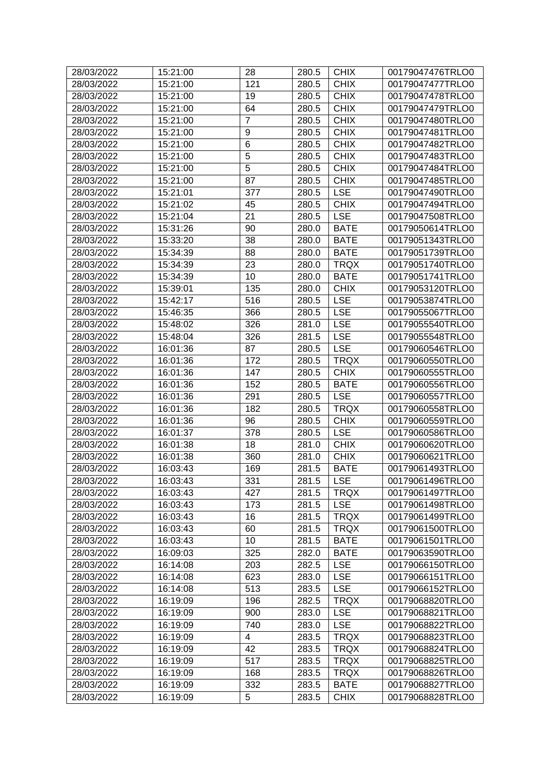| 28/03/2022 | 15:21:00 | 28                      | 280.5 | <b>CHIX</b> | 00179047476TRLO0 |
|------------|----------|-------------------------|-------|-------------|------------------|
| 28/03/2022 | 15:21:00 | 121                     | 280.5 | <b>CHIX</b> | 00179047477TRLO0 |
| 28/03/2022 | 15:21:00 | 19                      | 280.5 | <b>CHIX</b> | 00179047478TRLO0 |
| 28/03/2022 | 15:21:00 | 64                      | 280.5 | <b>CHIX</b> | 00179047479TRLO0 |
| 28/03/2022 | 15:21:00 | $\overline{7}$          | 280.5 | <b>CHIX</b> | 00179047480TRLO0 |
| 28/03/2022 | 15:21:00 | 9                       | 280.5 | <b>CHIX</b> | 00179047481TRLO0 |
| 28/03/2022 | 15:21:00 | $6\phantom{1}6$         | 280.5 | <b>CHIX</b> | 00179047482TRLO0 |
| 28/03/2022 | 15:21:00 | 5                       | 280.5 | <b>CHIX</b> | 00179047483TRLO0 |
| 28/03/2022 | 15:21:00 | 5                       | 280.5 | <b>CHIX</b> | 00179047484TRLO0 |
| 28/03/2022 | 15:21:00 | 87                      | 280.5 | <b>CHIX</b> | 00179047485TRLO0 |
| 28/03/2022 | 15:21:01 | 377                     | 280.5 | <b>LSE</b>  | 00179047490TRLO0 |
| 28/03/2022 | 15:21:02 | 45                      | 280.5 | <b>CHIX</b> | 00179047494TRLO0 |
| 28/03/2022 | 15:21:04 | 21                      | 280.5 | <b>LSE</b>  | 00179047508TRLO0 |
| 28/03/2022 | 15:31:26 | 90                      | 280.0 | <b>BATE</b> | 00179050614TRLO0 |
| 28/03/2022 | 15:33:20 | 38                      | 280.0 | <b>BATE</b> | 00179051343TRLO0 |
| 28/03/2022 | 15:34:39 | 88                      | 280.0 | <b>BATE</b> | 00179051739TRLO0 |
| 28/03/2022 | 15:34:39 | 23                      | 280.0 | <b>TRQX</b> | 00179051740TRLO0 |
| 28/03/2022 | 15:34:39 | 10                      | 280.0 | <b>BATE</b> | 00179051741TRLO0 |
| 28/03/2022 | 15:39:01 | 135                     | 280.0 | <b>CHIX</b> | 00179053120TRLO0 |
| 28/03/2022 | 15:42:17 | 516                     | 280.5 | <b>LSE</b>  | 00179053874TRLO0 |
| 28/03/2022 | 15:46:35 | 366                     | 280.5 | <b>LSE</b>  | 00179055067TRLO0 |
| 28/03/2022 | 15:48:02 | 326                     | 281.0 | <b>LSE</b>  | 00179055540TRLO0 |
| 28/03/2022 | 15:48:04 | 326                     | 281.5 | <b>LSE</b>  | 00179055548TRLO0 |
| 28/03/2022 | 16:01:36 | 87                      | 280.5 | <b>LSE</b>  | 00179060546TRLO0 |
| 28/03/2022 | 16:01:36 | 172                     | 280.5 | <b>TRQX</b> | 00179060550TRLO0 |
| 28/03/2022 | 16:01:36 | 147                     | 280.5 | <b>CHIX</b> | 00179060555TRLO0 |
| 28/03/2022 | 16:01:36 | 152                     | 280.5 | <b>BATE</b> | 00179060556TRLO0 |
| 28/03/2022 | 16:01:36 | 291                     | 280.5 | <b>LSE</b>  | 00179060557TRLO0 |
| 28/03/2022 | 16:01:36 | 182                     | 280.5 | <b>TRQX</b> | 00179060558TRLO0 |
| 28/03/2022 | 16:01:36 | 96                      | 280.5 | <b>CHIX</b> | 00179060559TRLO0 |
| 28/03/2022 | 16:01:37 | 378                     | 280.5 | <b>LSE</b>  | 00179060586TRLO0 |
| 28/03/2022 | 16:01:38 | 18                      | 281.0 | <b>CHIX</b> | 00179060620TRLO0 |
| 28/03/2022 | 16:01:38 | 360                     | 281.0 | <b>CHIX</b> | 00179060621TRLO0 |
| 28/03/2022 | 16:03:43 | 169                     | 281.5 | <b>BATE</b> | 00179061493TRLO0 |
| 28/03/2022 | 16:03:43 | 331                     | 281.5 | <b>LSE</b>  | 00179061496TRLO0 |
| 28/03/2022 | 16:03:43 | 427                     | 281.5 | <b>TRQX</b> | 00179061497TRLO0 |
| 28/03/2022 | 16:03:43 | 173                     | 281.5 | <b>LSE</b>  | 00179061498TRLO0 |
| 28/03/2022 | 16:03:43 | 16                      | 281.5 | <b>TRQX</b> | 00179061499TRLO0 |
| 28/03/2022 | 16:03:43 | 60                      | 281.5 | <b>TRQX</b> | 00179061500TRLO0 |
| 28/03/2022 | 16:03:43 | 10                      | 281.5 | <b>BATE</b> | 00179061501TRLO0 |
| 28/03/2022 | 16:09:03 | 325                     | 282.0 | <b>BATE</b> | 00179063590TRLO0 |
| 28/03/2022 | 16:14:08 | 203                     | 282.5 | <b>LSE</b>  | 00179066150TRLO0 |
| 28/03/2022 | 16:14:08 | 623                     | 283.0 | <b>LSE</b>  | 00179066151TRLO0 |
| 28/03/2022 | 16:14:08 | 513                     | 283.5 | <b>LSE</b>  | 00179066152TRLO0 |
| 28/03/2022 | 16:19:09 | 196                     | 282.5 | <b>TRQX</b> | 00179068820TRLO0 |
| 28/03/2022 | 16:19:09 | 900                     | 283.0 | <b>LSE</b>  | 00179068821TRLO0 |
| 28/03/2022 | 16:19:09 | 740                     | 283.0 | <b>LSE</b>  | 00179068822TRLO0 |
| 28/03/2022 | 16:19:09 | $\overline{\mathbf{4}}$ | 283.5 | <b>TRQX</b> | 00179068823TRLO0 |
| 28/03/2022 | 16:19:09 | 42                      | 283.5 | <b>TRQX</b> | 00179068824TRLO0 |
| 28/03/2022 | 16:19:09 | 517                     | 283.5 | <b>TRQX</b> | 00179068825TRLO0 |
| 28/03/2022 | 16:19:09 | 168                     | 283.5 | <b>TRQX</b> | 00179068826TRLO0 |
| 28/03/2022 | 16:19:09 | 332                     | 283.5 | <b>BATE</b> | 00179068827TRLO0 |
| 28/03/2022 | 16:19:09 | 5                       | 283.5 | <b>CHIX</b> | 00179068828TRLO0 |
|            |          |                         |       |             |                  |